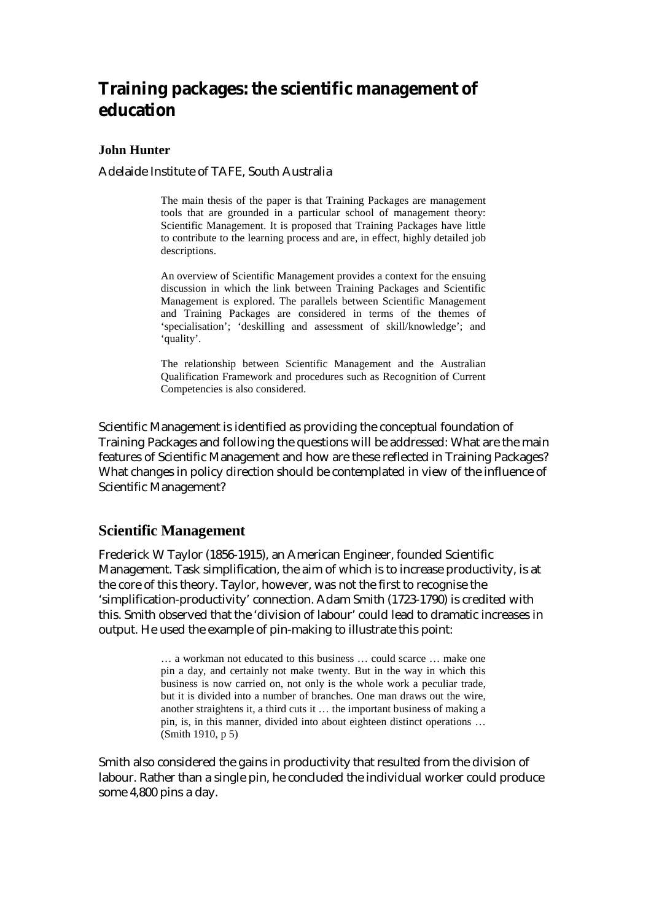# **Training packages: the scientific management of education**

#### **John Hunter**

Adelaide Institute of TAFE, South Australia

The main thesis of the paper is that Training Packages are management tools that are grounded in a particular school of management theory: Scientific Management. It is proposed that Training Packages have little to contribute to the learning process and are, in effect, highly detailed job descriptions.

An overview of Scientific Management provides a context for the ensuing discussion in which the link between Training Packages and Scientific Management is explored. The parallels between Scientific Management and Training Packages are considered in terms of the themes of 'specialisation'; 'deskilling and assessment of skill/knowledge'; and 'quality'.

The relationship between Scientific Management and the Australian Qualification Framework and procedures such as Recognition of Current Competencies is also considered.

Scientific Management is identified as providing the conceptual foundation of Training Packages and following the questions will be addressed: What are the main features of Scientific Management and how are these reflected in Training Packages? What changes in policy direction should be contemplated in view of the influence of Scientific Management?

## **Scientific Management**

Frederick W Taylor (1856-1915), an American Engineer, founded Scientific Management. Task simplification, the aim of which is to increase productivity, is at the core of this theory. Taylor, however, was not the first to recognise the 'simplification-productivity' connection. Adam Smith (1723-1790) is credited with this. Smith observed that the 'division of labour' could lead to dramatic increases in output. He used the example of pin-making to illustrate this point:

> … a workman not educated to this business … could scarce … make one pin a day, and certainly not make twenty. But in the way in which this business is now carried on, not only is the whole work a peculiar trade, but it is divided into a number of branches. One man draws out the wire, another straightens it, a third cuts it … the important business of making a pin, is, in this manner, divided into about eighteen distinct operations … (Smith 1910, p 5)

Smith also considered the gains in productivity that resulted from the division of labour. Rather than a single pin, he concluded the individual worker could produce some 4,800 pins a day.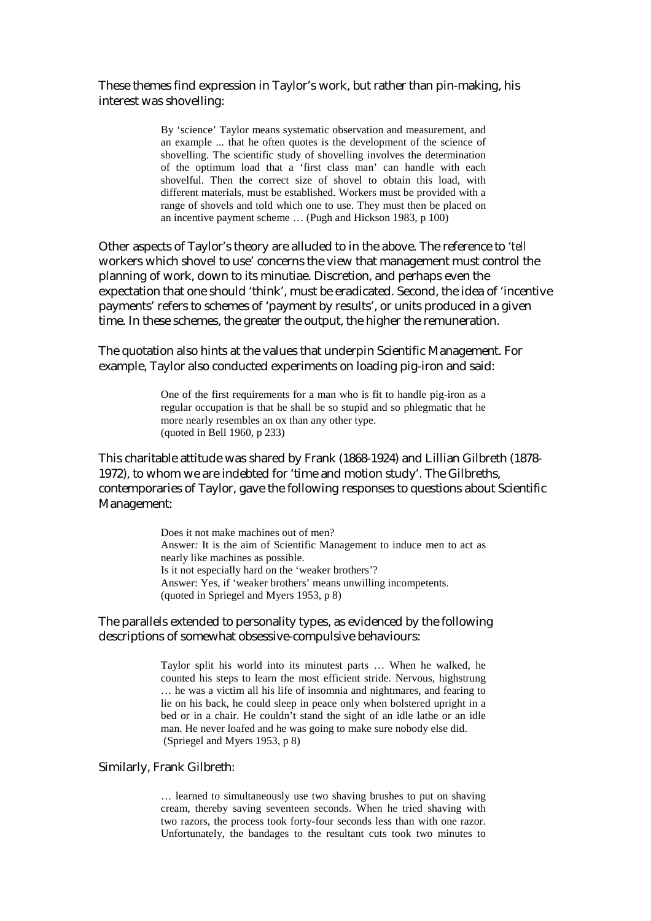These themes find expression in Taylor's work, but rather than pin-making, his interest was shovelling:

> By 'science' Taylor means systematic observation and measurement, and an example ... that he often quotes is the development of the science of shovelling. The scientific study of shovelling involves the determination of the optimum load that a 'first class man' can handle with each shovelful. Then the correct size of shovel to obtain this load, with different materials, must be established. Workers must be provided with a range of shovels and told which one to use. They must then be placed on an incentive payment scheme … (Pugh and Hickson 1983, p 100)

Other aspects of Taylor's theory are alluded to in the above. The reference to '*tell* workers which shovel to use' concerns the view that management must control the planning of work, down to its minutiae. Discretion, and perhaps even the expectation that one should 'think', must be eradicated. Second, the idea of 'incentive payments' refers to schemes of 'payment by results', or units produced in a given time. In these schemes, the greater the output, the higher the remuneration.

The quotation also hints at the values that underpin Scientific Management. For example, Taylor also conducted experiments on loading pig-iron and said:

> One of the first requirements for a man who is fit to handle pig-iron as a regular occupation is that he shall be so stupid and so phlegmatic that he more nearly resembles an ox than any other type. (quoted in Bell 1960, p 233)

This charitable attitude was shared by Frank (1868-1924) and Lillian Gilbreth (1878- 1972), to whom we are indebted for 'time and motion study'. The Gilbreths, contemporaries of Taylor, gave the following responses to questions about Scientific Management:

> Does it not make machines out of men? Answer*:* It is the aim of Scientific Management to induce men to act as nearly like machines as possible. Is it not especially hard on the 'weaker brothers'? Answer: Yes, if 'weaker brothers' means unwilling incompetents. (quoted in Spriegel and Myers 1953, p 8)

The parallels extended to personality types, as evidenced by the following descriptions of somewhat obsessive-compulsive behaviours:

> Taylor split his world into its minutest parts … When he walked, he counted his steps to learn the most efficient stride. Nervous, highstrung … he was a victim all his life of insomnia and nightmares, and fearing to lie on his back, he could sleep in peace only when bolstered upright in a bed or in a chair. He couldn't stand the sight of an idle lathe or an idle man. He never loafed and he was going to make sure nobody else did. (Spriegel and Myers 1953, p 8)

#### Similarly, Frank Gilbreth:

… learned to simultaneously use two shaving brushes to put on shaving cream, thereby saving seventeen seconds. When he tried shaving with two razors, the process took forty-four seconds less than with one razor. Unfortunately, the bandages to the resultant cuts took two minutes to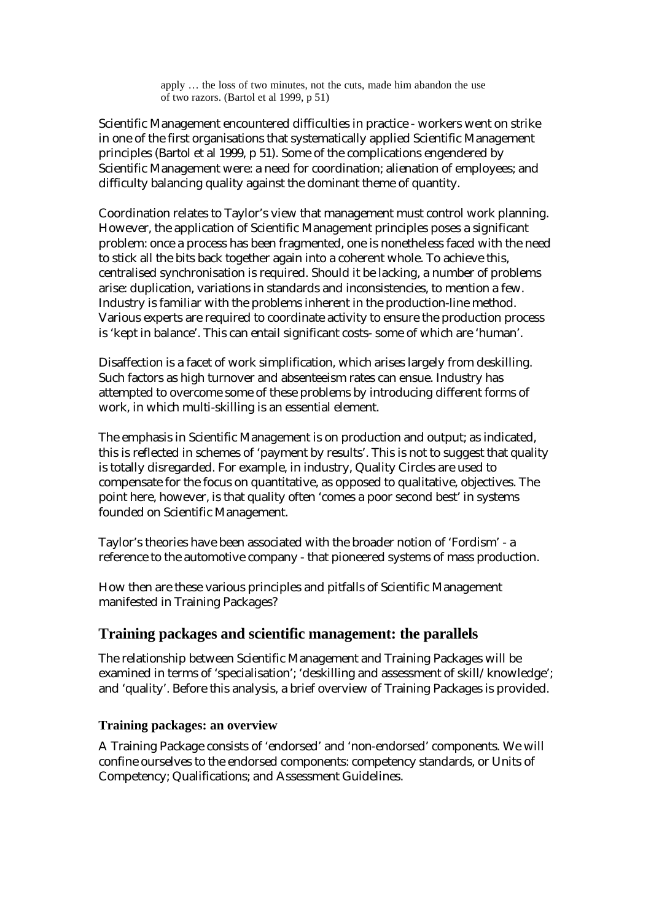apply … the loss of two minutes, not the cuts, made him abandon the use of two razors. (Bartol et al 1999, p 51)

Scientific Management encountered difficulties in practice - workers went on strike in one of the first organisations that systematically applied Scientific Management principles (Bartol et al 1999, p 51). Some of the complications engendered by Scientific Management were: a need for coordination; alienation of employees; and difficulty balancing quality against the dominant theme of quantity.

Coordination relates to Taylor's view that management must control work planning. However, the application of Scientific Management principles poses a significant problem: once a process has been fragmented, one is nonetheless faced with the need to stick all the bits back together again into a coherent whole. To achieve this, centralised synchronisation is required. Should it be lacking, a number of problems arise: duplication, variations in standards and inconsistencies, to mention a few. Industry is familiar with the problems inherent in the production-line method. Various experts are required to coordinate activity to ensure the production process is 'kept in balance'. This can entail significant costs- some of which are 'human'.

Disaffection is a facet of work simplification, which arises largely from deskilling. Such factors as high turnover and absenteeism rates can ensue. Industry has attempted to overcome some of these problems by introducing different forms of work, in which multi-skilling is an essential element.

The emphasis in Scientific Management is on production and output; as indicated, this is reflected in schemes of 'payment by results'. This is not to suggest that quality is totally disregarded. For example, in industry, Quality Circles are used to compensate for the focus on quantitative, as opposed to qualitative, objectives. The point here, however, is that quality often 'comes a poor second best' in systems founded on Scientific Management.

Taylor's theories have been associated with the broader notion of 'Fordism' - a reference to the automotive company - that pioneered systems of mass production.

How then are these various principles and pitfalls of Scientific Management manifested in Training Packages?

## **Training packages and scientific management: the parallels**

The relationship between Scientific Management and Training Packages will be examined in terms of 'specialisation'; 'deskilling and assessment of skill/knowledge'; and 'quality'. Before this analysis, a brief overview of Training Packages is provided.

#### **Training packages: an overview**

A Training Package consists of 'endorsed' and 'non-endorsed' components. We will confine ourselves to the endorsed components: competency standards, or Units of Competency; Qualifications; and Assessment Guidelines.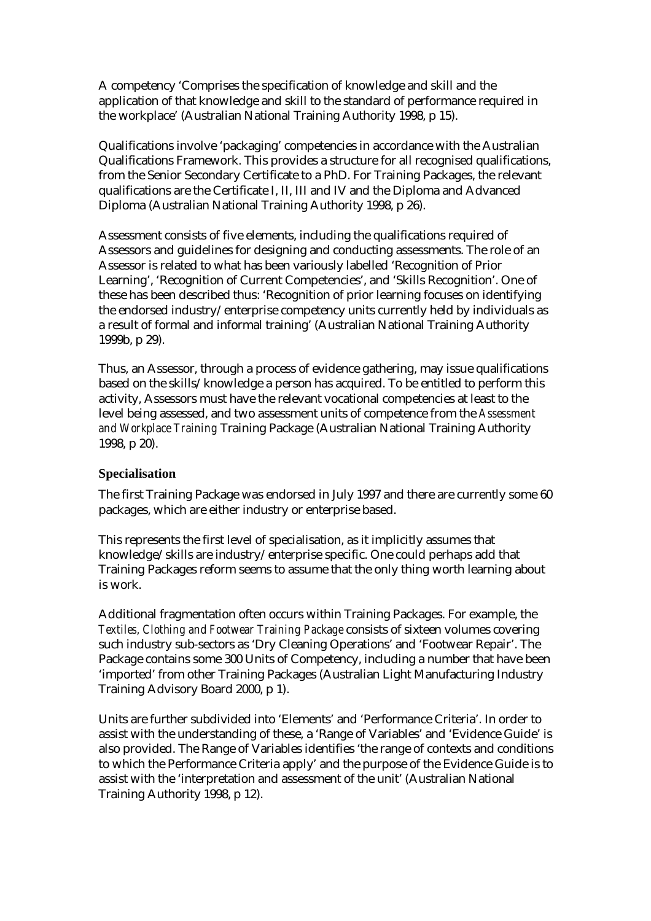A competency 'Comprises the specification of knowledge and skill and the application of that knowledge and skill to the standard of performance required in the workplace' (Australian National Training Authority 1998, p 15).

Qualifications involve 'packaging' competencies in accordance with the Australian Qualifications Framework. This provides a structure for all recognised qualifications, from the Senior Secondary Certificate to a PhD. For Training Packages, the relevant qualifications are the Certificate I, II, III and IV and the Diploma and Advanced Diploma (Australian National Training Authority 1998, p 26).

Assessment consists of five elements, including the qualifications required of Assessors and guidelines for designing and conducting assessments. The role of an Assessor is related to what has been variously labelled 'Recognition of Prior Learning', 'Recognition of Current Competencies', and 'Skills Recognition'. One of these has been described thus: 'Recognition of prior learning focuses on identifying the endorsed industry/enterprise competency units currently held by individuals as a result of formal and informal training' (Australian National Training Authority 1999b, p 29).

Thus, an Assessor, through a process of evidence gathering, may issue qualifications based on the skills/knowledge a person has acquired. To be entitled to perform this activity, Assessors must have the relevant vocational competencies at least to the level being assessed, and two assessment units of competence from the *Assessment and Workplace Training* Training Package (Australian National Training Authority 1998, p 20).

#### **Specialisation**

The first Training Package was endorsed in July 1997 and there are currently some 60 packages, which are either industry or enterprise based.

This represents the first level of specialisation, as it implicitly assumes that knowledge/skills are industry/enterprise specific. One could perhaps add that Training Packages reform seems to assume that the only thing worth learning about is work.

Additional fragmentation often occurs within Training Packages. For example, the *Textiles, Clothing and Footwear Training Package* consists of sixteen volumes covering such industry sub-sectors as 'Dry Cleaning Operations' and 'Footwear Repair'. The Package contains some 300 Units of Competency, including a number that have been 'imported' from other Training Packages (Australian Light Manufacturing Industry Training Advisory Board 2000, p 1).

Units are further subdivided into 'Elements' and 'Performance Criteria'. In order to assist with the understanding of these, a 'Range of Variables' and 'Evidence Guide' is also provided. The Range of Variables identifies 'the range of contexts and conditions to which the Performance Criteria apply' and the purpose of the Evidence Guide is to assist with the 'interpretation and assessment of the unit' (Australian National Training Authority 1998, p 12).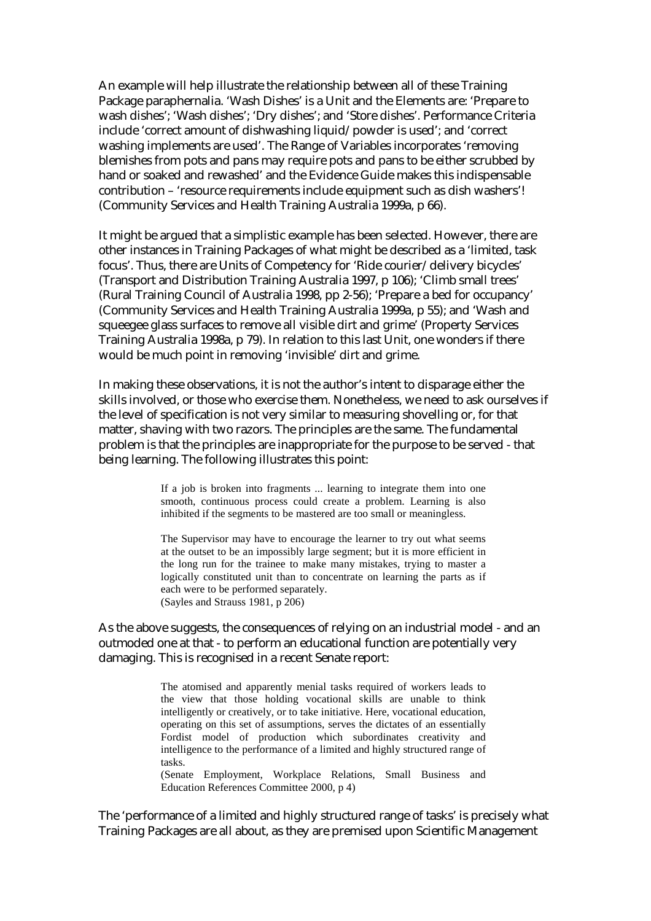An example will help illustrate the relationship between all of these Training Package paraphernalia. 'Wash Dishes' is a Unit and the Elements are: 'Prepare to wash dishes'; 'Wash dishes'; 'Dry dishes'; and 'Store dishes'. Performance Criteria include 'correct amount of dishwashing liquid/powder is used'; and 'correct washing implements are used'. The Range of Variables incorporates 'removing blemishes from pots and pans may require pots and pans to be either scrubbed by hand or soaked and rewashed' and the Evidence Guide makes this indispensable contribution – 'resource requirements include equipment such as dish washers'! (Community Services and Health Training Australia 1999a, p 66).

It might be argued that a simplistic example has been selected. However, there are other instances in Training Packages of what might be described as a 'limited, task focus'. Thus, there are Units of Competency for 'Ride courier/delivery bicycles' (Transport and Distribution Training Australia 1997, p 106); 'Climb small trees' (Rural Training Council of Australia 1998, pp 2-56); 'Prepare a bed for occupancy' (Community Services and Health Training Australia 1999a, p 55); and 'Wash and squeegee glass surfaces to remove all visible dirt and grime' (Property Services Training Australia 1998a, p 79). In relation to this last Unit, one wonders if there would be much point in removing 'invisible' dirt and grime.

In making these observations, it is not the author's intent to disparage either the skills involved, or those who exercise them. Nonetheless, we need to ask ourselves if the level of specification is not very similar to measuring shovelling or, for that matter, shaving with two razors. The principles are the same. The fundamental problem is that the principles are inappropriate for the purpose to be served - that being learning. The following illustrates this point:

> If a job is broken into fragments ... learning to integrate them into one smooth, continuous process could create a problem. Learning is also inhibited if the segments to be mastered are too small or meaningless.

> The Supervisor may have to encourage the learner to try out what seems at the outset to be an impossibly large segment; but it is more efficient in the long run for the trainee to make many mistakes, trying to master a logically constituted unit than to concentrate on learning the parts as if each were to be performed separately. (Sayles and Strauss 1981, p 206)

As the above suggests, the consequences of relying on an industrial model - and an outmoded one at that - to perform an educational function are potentially very damaging. This is recognised in a recent Senate report:

> The atomised and apparently menial tasks required of workers leads to the view that those holding vocational skills are unable to think intelligently or creatively, or to take initiative. Here, vocational education, operating on this set of assumptions, serves the dictates of an essentially Fordist model of production which subordinates creativity and intelligence to the performance of a limited and highly structured range of tasks.

> (Senate Employment, Workplace Relations, Small Business and Education References Committee 2000, p 4)

The 'performance of a limited and highly structured range of tasks' is precisely what Training Packages are all about, as they are premised upon Scientific Management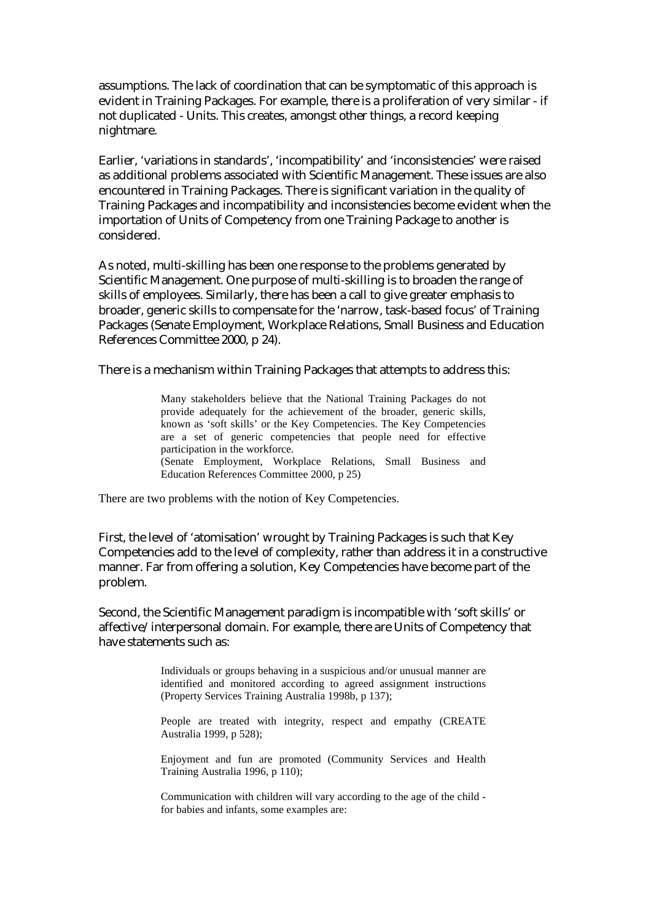assumptions. The lack of coordination that can be symptomatic of this approach is evident in Training Packages. For example, there is a proliferation of very similar - if not duplicated - Units. This creates, amongst other things, a record keeping nightmare.

Earlier, 'variations in standards', 'incompatibility' and 'inconsistencies' were raised as additional problems associated with Scientific Management. These issues are also encountered in Training Packages. There is significant variation in the quality of Training Packages and incompatibility and inconsistencies become evident when the importation of Units of Competency from one Training Package to another is considered.

As noted, multi-skilling has been one response to the problems generated by Scientific Management. One purpose of multi-skilling is to broaden the range of skills of employees. Similarly, there has been a call to give greater emphasis to broader, generic skills to compensate for the 'narrow, task-based focus' of Training Packages (Senate Employment, Workplace Relations, Small Business and Education References Committee 2000, p 24).

There is a mechanism within Training Packages that attempts to address this:

Many stakeholders believe that the National Training Packages do not provide adequately for the achievement of the broader, generic skills, known as 'soft skills' or the Key Competencies. The Key Competencies are a set of generic competencies that people need for effective participation in the workforce. (Senate Employment, Workplace Relations, Small Business and Education References Committee 2000, p 25)

There are two problems with the notion of Key Competencies.

First, the level of 'atomisation' wrought by Training Packages is such that Key Competencies add to the level of complexity, rather than address it in a constructive manner. Far from offering a solution, Key Competencies have become part of the problem.

Second, the Scientific Management paradigm is incompatible with 'soft skills' or affective/interpersonal domain. For example, there are Units of Competency that have statements such as:

> Individuals or groups behaving in a suspicious and/or unusual manner are identified and monitored according to agreed assignment instructions (Property Services Training Australia 1998b, p 137);

> People are treated with integrity, respect and empathy (CREATE Australia 1999, p 528);

> Enjoyment and fun are promoted (Community Services and Health Training Australia 1996, p 110);

> Communication with children will vary according to the age of the child for babies and infants, some examples are: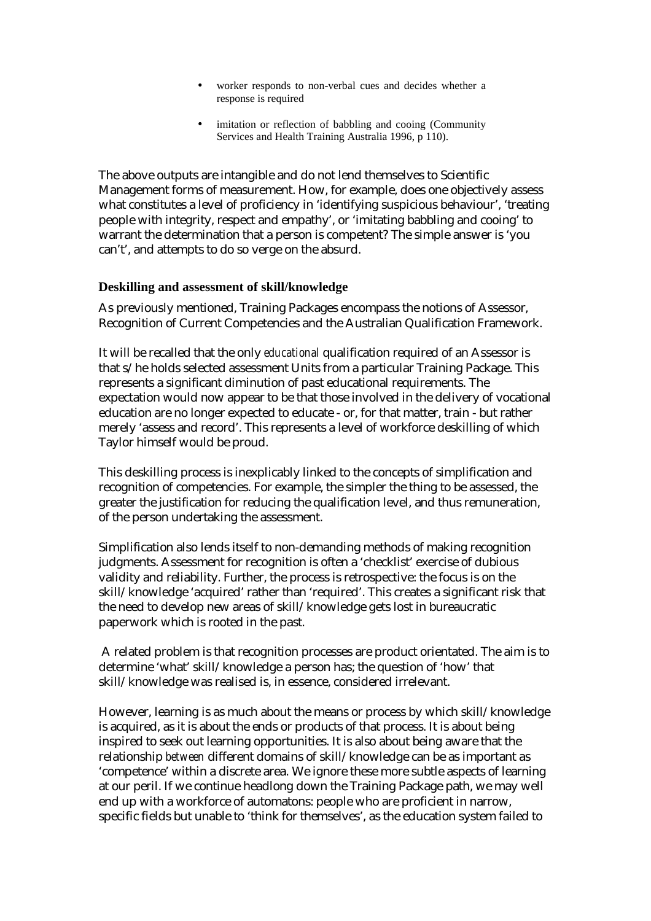- worker responds to non-verbal cues and decides whether a response is required
- imitation or reflection of babbling and cooing (Community Services and Health Training Australia 1996, p 110).

The above outputs are intangible and do not lend themselves to Scientific Management forms of measurement. How, for example, does one objectively assess what constitutes a level of proficiency in 'identifying suspicious behaviour', 'treating people with integrity, respect and empathy', or 'imitating babbling and cooing' to warrant the determination that a person is competent? The simple answer is 'you can't', and attempts to do so verge on the absurd.

#### **Deskilling and assessment of skill/knowledge**

As previously mentioned, Training Packages encompass the notions of Assessor, Recognition of Current Competencies and the Australian Qualification Framework.

It will be recalled that the only *educational* qualification required of an Assessor is that s/he holds selected assessment Units from a particular Training Package. This represents a significant diminution of past educational requirements. The expectation would now appear to be that those involved in the delivery of vocational education are no longer expected to educate - or, for that matter, train - but rather merely 'assess and record'. This represents a level of workforce deskilling of which Taylor himself would be proud.

This deskilling process is inexplicably linked to the concepts of simplification and recognition of competencies. For example, the simpler the thing to be assessed, the greater the justification for reducing the qualification level, and thus remuneration, of the person undertaking the assessment.

Simplification also lends itself to non-demanding methods of making recognition judgments. Assessment for recognition is often a 'checklist' exercise of dubious validity and reliability. Further, the process is retrospective: the focus is on the skill/knowledge 'acquired' rather than 'required'. This creates a significant risk that the need to develop new areas of skill/knowledge gets lost in bureaucratic paperwork which is rooted in the past.

 A related problem is that recognition processes are product orientated. The aim is to determine 'what' skill/knowledge a person has; the question of 'how' that skill/knowledge was realised is, in essence, considered irrelevant.

However, learning is as much about the means or process by which skill/knowledge is acquired, as it is about the ends or products of that process. It is about being inspired to seek out learning opportunities. It is also about being aware that the relationship *between* different domains of skill/knowledge can be as important as 'competence' within a discrete area. We ignore these more subtle aspects of learning at our peril. If we continue headlong down the Training Package path, we may well end up with a workforce of automatons: people who are proficient in narrow, specific fields but unable to 'think for themselves', as the education system failed to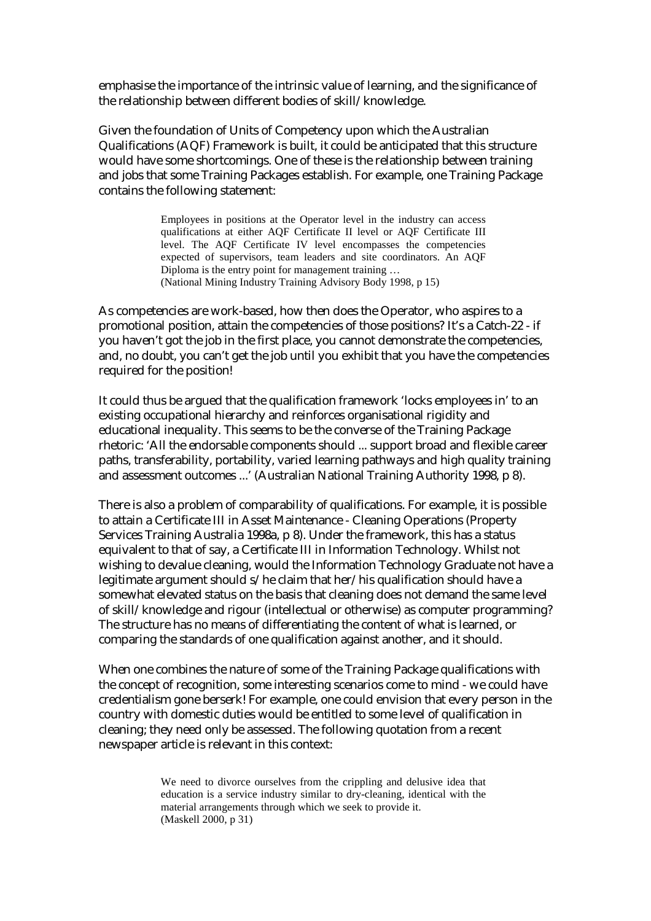emphasise the importance of the intrinsic value of learning, and the significance of the relationship between different bodies of skill/knowledge.

Given the foundation of Units of Competency upon which the Australian Qualifications (AQF) Framework is built, it could be anticipated that this structure would have some shortcomings. One of these is the relationship between training and jobs that some Training Packages establish. For example, one Training Package contains the following statement:

> Employees in positions at the Operator level in the industry can access qualifications at either AQF Certificate II level or AQF Certificate III level. The AQF Certificate IV level encompasses the competencies expected of supervisors, team leaders and site coordinators. An AQF Diploma is the entry point for management training … (National Mining Industry Training Advisory Body 1998, p 15)

As competencies are work-based, how then does the Operator, who aspires to a promotional position, attain the competencies of those positions? It's a Catch-22 - if you haven't got the job in the first place, you cannot demonstrate the competencies, and, no doubt, you can't get the job until you exhibit that you have the competencies required for the position!

It could thus be argued that the qualification framework 'locks employees in' to an existing occupational hierarchy and reinforces organisational rigidity and educational inequality. This seems to be the converse of the Training Package rhetoric: 'All the endorsable components should ... support broad and flexible career paths, transferability, portability, varied learning pathways and high quality training and assessment outcomes ...' (Australian National Training Authority 1998, p 8).

There is also a problem of comparability of qualifications. For example, it is possible to attain a Certificate III in Asset Maintenance - Cleaning Operations (Property Services Training Australia 1998a, p 8). Under the framework, this has a status equivalent to that of say, a Certificate III in Information Technology. Whilst not wishing to devalue cleaning, would the Information Technology Graduate not have a legitimate argument should s/he claim that her/his qualification should have a somewhat elevated status on the basis that cleaning does not demand the same level of skill/knowledge and rigour (intellectual or otherwise) as computer programming? The structure has no means of differentiating the content of what is learned, or comparing the standards of one qualification against another, and it should.

When one combines the nature of some of the Training Package qualifications with the concept of recognition, some interesting scenarios come to mind - we could have credentialism gone berserk! For example, one could envision that every person in the country with domestic duties would be entitled to some level of qualification in cleaning; they need only be assessed. The following quotation from a recent newspaper article is relevant in this context:

> We need to divorce ourselves from the crippling and delusive idea that education is a service industry similar to dry-cleaning, identical with the material arrangements through which we seek to provide it. (Maskell 2000, p 31)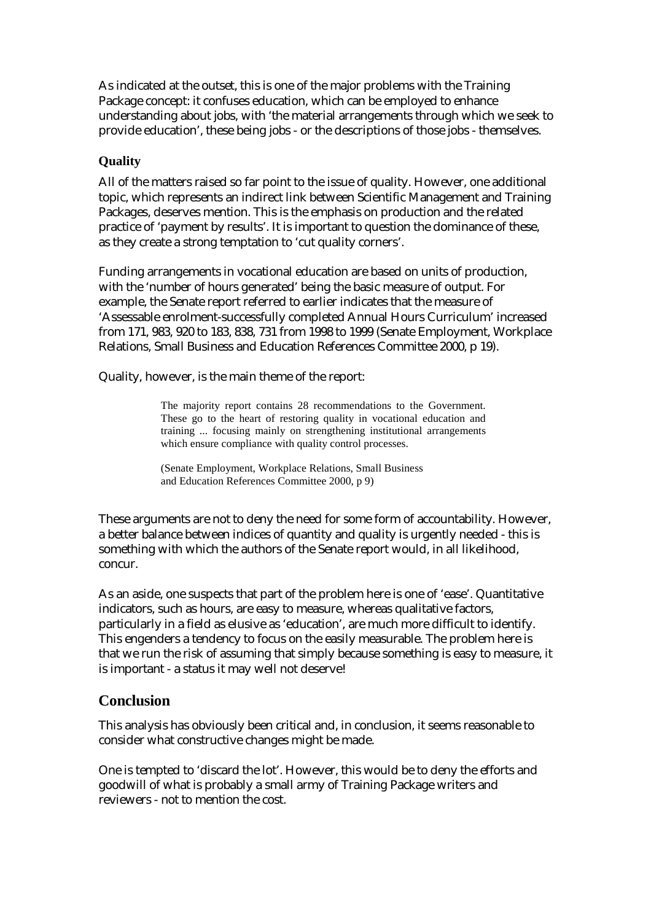As indicated at the outset, this is one of the major problems with the Training Package concept: it confuses education, which can be employed to enhance understanding about jobs, with 'the material arrangements through which we seek to provide education', these being jobs - or the descriptions of those jobs - themselves.

## **Quality**

All of the matters raised so far point to the issue of quality. However, one additional topic, which represents an indirect link between Scientific Management and Training Packages, deserves mention. This is the emphasis on production and the related practice of 'payment by results'. It is important to question the dominance of these, as they create a strong temptation to 'cut quality corners'.

Funding arrangements in vocational education are based on units of production, with the 'number of hours generated' being the basic measure of output. For example, the Senate report referred to earlier indicates that the measure of 'Assessable enrolment-successfully completed Annual Hours Curriculum' increased from 171, 983, 920 to 183, 838, 731 from 1998 to 1999 (Senate Employment, Workplace Relations, Small Business and Education References Committee 2000, p 19).

Quality, however, is the main theme of the report:

The majority report contains 28 recommendations to the Government. These go to the heart of restoring quality in vocational education and training ... focusing mainly on strengthening institutional arrangements which ensure compliance with quality control processes.

(Senate Employment, Workplace Relations, Small Business and Education References Committee 2000, p 9)

These arguments are not to deny the need for some form of accountability. However, a better balance between indices of quantity and quality is urgently needed - this is something with which the authors of the Senate report would, in all likelihood, concur.

As an aside, one suspects that part of the problem here is one of 'ease'. Quantitative indicators, such as hours, are easy to measure, whereas qualitative factors, particularly in a field as elusive as 'education', are much more difficult to identify. This engenders a tendency to focus on the easily measurable. The problem here is that we run the risk of assuming that simply because something is easy to measure, it is important - a status it may well not deserve!

# **Conclusion**

This analysis has obviously been critical and, in conclusion, it seems reasonable to consider what constructive changes might be made.

One is tempted to 'discard the lot'. However, this would be to deny the efforts and goodwill of what is probably a small army of Training Package writers and reviewers - not to mention the cost.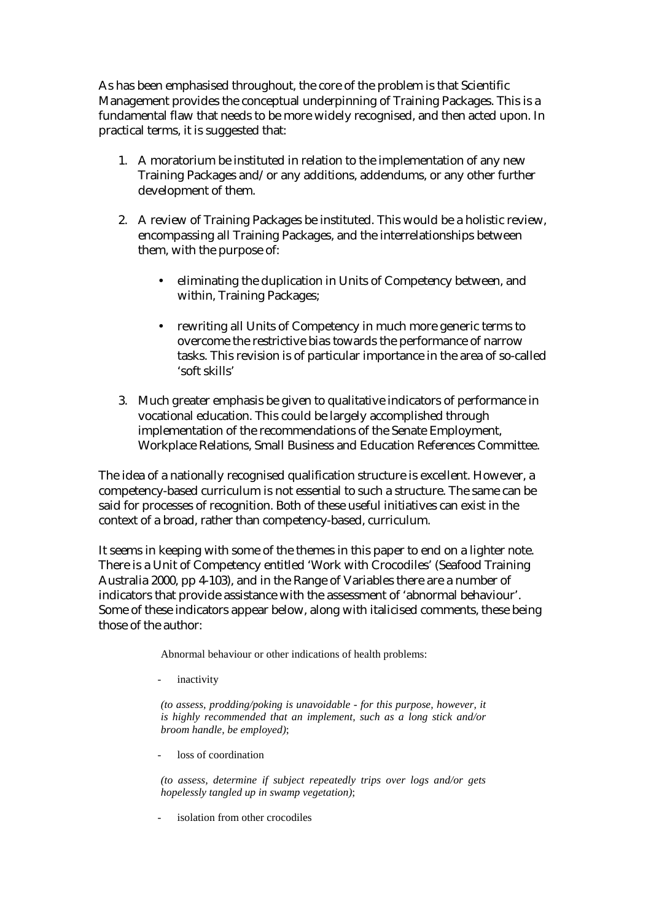As has been emphasised throughout, the core of the problem is that Scientific Management provides the conceptual underpinning of Training Packages. This is a fundamental flaw that needs to be more widely recognised, and then acted upon. In practical terms, it is suggested that:

- 1. A moratorium be instituted in relation to the implementation of any new Training Packages and/or any additions, addendums, or any other further development of them.
- 2. A review of Training Packages be instituted. This would be a holistic review, encompassing all Training Packages, and the interrelationships between them, with the purpose of:
	- eliminating the duplication in Units of Competency between, and within, Training Packages;
	- rewriting all Units of Competency in much more generic terms to overcome the restrictive bias towards the performance of narrow tasks. This revision is of particular importance in the area of so-called 'soft skills'
- 3. Much greater emphasis be given to qualitative indicators of performance in vocational education. This could be largely accomplished through implementation of the recommendations of the Senate Employment, Workplace Relations, Small Business and Education References Committee.

The idea of a nationally recognised qualification structure is excellent. However, a competency-based curriculum is not essential to such a structure. The same can be said for processes of recognition. Both of these useful initiatives can exist in the context of a broad, rather than competency-based, curriculum.

It seems in keeping with some of the themes in this paper to end on a lighter note. There is a Unit of Competency entitled 'Work with Crocodiles' (Seafood Training Australia 2000, pp 4-103), and in the Range of Variables there are a number of indicators that provide assistance with the assessment of 'abnormal behaviour'. Some of these indicators appear below, along with italicised comments, these being those of the author:

Abnormal behaviour or other indications of health problems:

inactivity

*(to assess, prodding/poking is unavoidable - for this purpose, however, it is highly recommended that an implement, such as a long stick and/or broom handle, be employed)*;

loss of coordination

*(to assess, determine if subject repeatedly trips over logs and/or gets hopelessly tangled up in swamp vegetation)*;

isolation from other crocodiles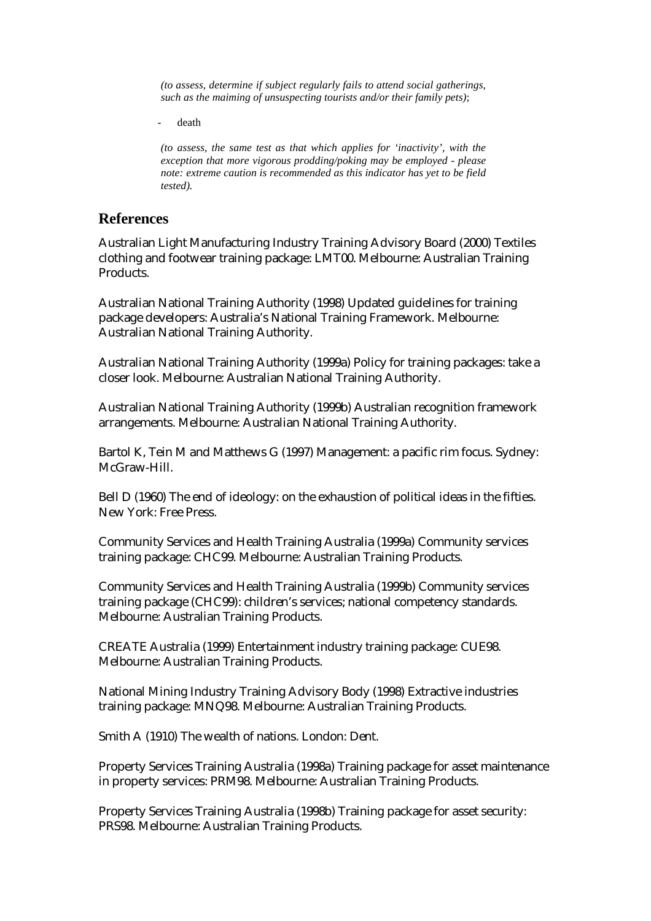*(to assess, determine if subject regularly fails to attend social gatherings, such as the maiming of unsuspecting tourists and/or their family pets)*;

death

*(to assess, the same test as that which applies for 'inactivity', with the exception that more vigorous prodding/poking may be employed - please note: extreme caution is recommended as this indicator has yet to be field tested).*

#### **References**

Australian Light Manufacturing Industry Training Advisory Board (2000) Textiles clothing and footwear training package: LMT00. Melbourne: Australian Training Products.

Australian National Training Authority (1998) Updated guidelines for training package developers: Australia's National Training Framework. Melbourne: Australian National Training Authority.

Australian National Training Authority (1999a) Policy for training packages: take a closer look. Melbourne: Australian National Training Authority.

Australian National Training Authority (1999b) Australian recognition framework arrangements. Melbourne: Australian National Training Authority.

Bartol K, Tein M and Matthews G (1997) Management: a pacific rim focus. Sydney: McGraw-Hill.

Bell D (1960) The end of ideology: on the exhaustion of political ideas in the fifties. New York: Free Press.

Community Services and Health Training Australia (1999a) Community services training package: CHC99. Melbourne: Australian Training Products.

Community Services and Health Training Australia (1999b) Community services training package (CHC99): children's services; national competency standards. Melbourne: Australian Training Products.

CREATE Australia (1999) Entertainment industry training package: CUE98. Melbourne: Australian Training Products.

National Mining Industry Training Advisory Body (1998) Extractive industries training package: MNQ98. Melbourne: Australian Training Products.

Smith A (1910) The wealth of nations. London: Dent.

Property Services Training Australia (1998a) Training package for asset maintenance in property services: PRM98. Melbourne: Australian Training Products.

Property Services Training Australia (1998b) Training package for asset security: PRS98. Melbourne: Australian Training Products.